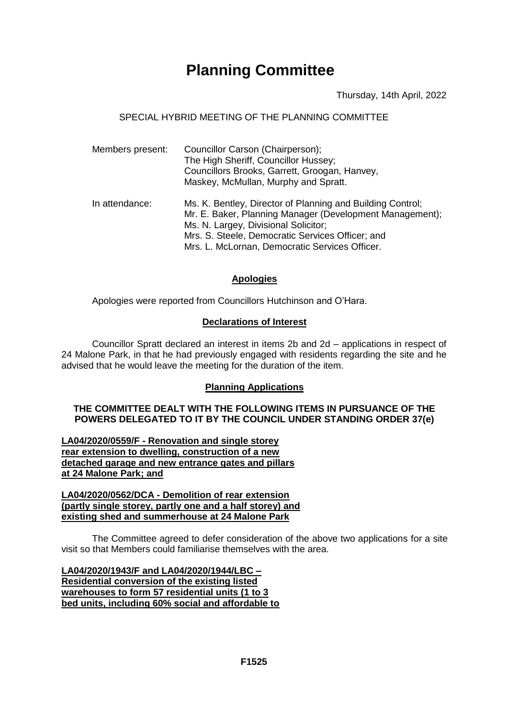# **Planning Committee**

Thursday, 14th April, 2022

## SPECIAL HYBRID MEETING OF THE PLANNING COMMITTEE

| Members present: | Councillor Carson (Chairperson);<br>The High Sheriff, Councillor Hussey;<br>Councillors Brooks, Garrett, Groogan, Hanvey,<br>Maskey, McMullan, Murphy and Spratt.                                                                                                    |
|------------------|----------------------------------------------------------------------------------------------------------------------------------------------------------------------------------------------------------------------------------------------------------------------|
| In attendance:   | Ms. K. Bentley, Director of Planning and Building Control;<br>Mr. E. Baker, Planning Manager (Development Management);<br>Ms. N. Largey, Divisional Solicitor;<br>Mrs. S. Steele, Democratic Services Officer; and<br>Mrs. L. McLornan, Democratic Services Officer. |

## **Apologies**

Apologies were reported from Councillors Hutchinson and O'Hara.

## **Declarations of Interest**

Councillor Spratt declared an interest in items 2b and 2d – applications in respect of 24 Malone Park, in that he had previously engaged with residents regarding the site and he advised that he would leave the meeting for the duration of the item.

# **Planning Applications**

## **THE COMMITTEE DEALT WITH THE FOLLOWING ITEMS IN PURSUANCE OF THE POWERS DELEGATED TO IT BY THE COUNCIL UNDER STANDING ORDER 37(e)**

**LA04/2020/0559/F - Renovation and single storey rear extension to dwelling, construction of a new detached garage and new entrance gates and pillars at 24 Malone Park; and**

#### **LA04/2020/0562/DCA - Demolition of rear extension (partly single storey, partly one and a half storey) and existing shed and summerhouse at 24 Malone Park**

The Committee agreed to defer consideration of the above two applications for a site visit so that Members could familiarise themselves with the area.

**LA04/2020/1943/F and LA04/2020/1944/LBC – Residential conversion of the existing listed warehouses to form 57 residential units (1 to 3 bed units, including 60% social and affordable to**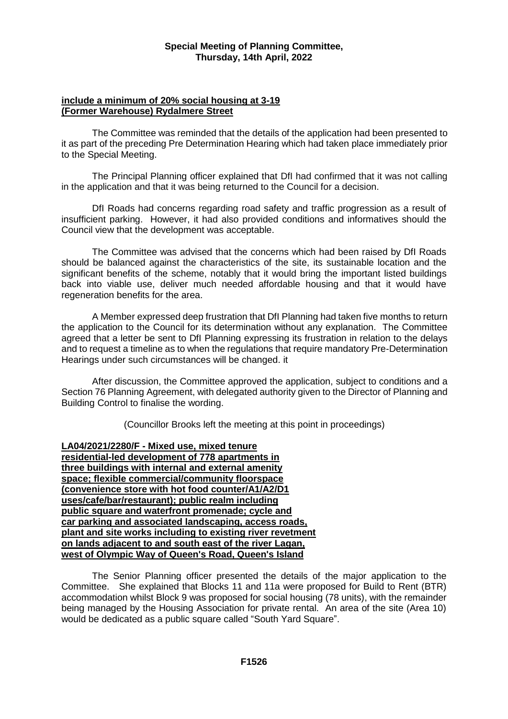#### **include a minimum of 20% social housing at 3-19 (Former Warehouse) Rydalmere Street**

The Committee was reminded that the details of the application had been presented to it as part of the preceding Pre Determination Hearing which had taken place immediately prior to the Special Meeting.

The Principal Planning officer explained that DfI had confirmed that it was not calling in the application and that it was being returned to the Council for a decision.

DfI Roads had concerns regarding road safety and traffic progression as a result of insufficient parking. However, it had also provided conditions and informatives should the Council view that the development was acceptable.

The Committee was advised that the concerns which had been raised by DfI Roads should be balanced against the characteristics of the site, its sustainable location and the significant benefits of the scheme, notably that it would bring the important listed buildings back into viable use, deliver much needed affordable housing and that it would have regeneration benefits for the area.

A Member expressed deep frustration that DfI Planning had taken five months to return the application to the Council for its determination without any explanation. The Committee agreed that a letter be sent to DfI Planning expressing its frustration in relation to the delays and to request a timeline as to when the regulations that require mandatory Pre-Determination Hearings under such circumstances will be changed. it

After discussion, the Committee approved the application, subject to conditions and a Section 76 Planning Agreement, with delegated authority given to the Director of Planning and Building Control to finalise the wording.

(Councillor Brooks left the meeting at this point in proceedings)

**LA04/2021/2280/F - Mixed use, mixed tenure residential-led development of 778 apartments in three buildings with internal and external amenity space; flexible commercial/community floorspace (convenience store with hot food counter/A1/A2/D1 uses/cafe/bar/restaurant); public realm including public square and waterfront promenade; cycle and car parking and associated landscaping, access roads, plant and site works including to existing river revetment on lands adjacent to and south east of the river Lagan, west of Olympic Way of Queen's Road, Queen's Island**

The Senior Planning officer presented the details of the major application to the Committee. She explained that Blocks 11 and 11a were proposed for Build to Rent (BTR) accommodation whilst Block 9 was proposed for social housing (78 units), with the remainder being managed by the Housing Association for private rental. An area of the site (Area 10) would be dedicated as a public square called "South Yard Square".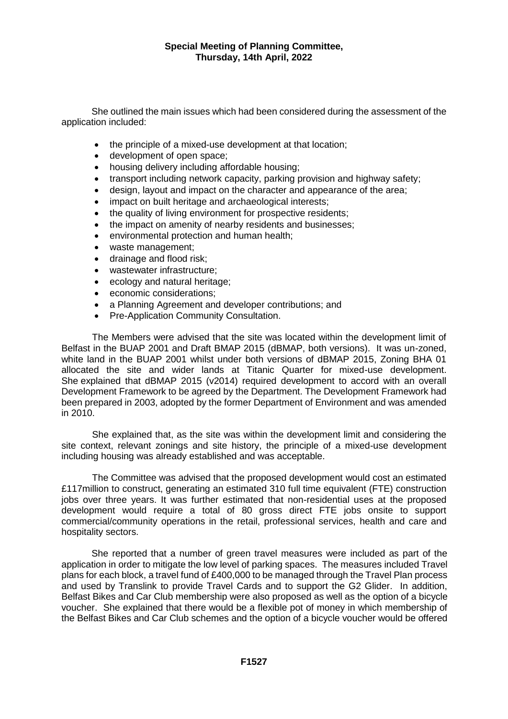She outlined the main issues which had been considered during the assessment of the application included:

- the principle of a mixed-use development at that location;
- development of open space;
- housing delivery including affordable housing;
- transport including network capacity, parking provision and highway safety;
- design, layout and impact on the character and appearance of the area;
- impact on built heritage and archaeological interests;
- the quality of living environment for prospective residents;
- the impact on amenity of nearby residents and businesses;
- environmental protection and human health;
- waste management;
- drainage and flood risk;
- wastewater infrastructure;
- ecology and natural heritage;
- economic considerations;
- a Planning Agreement and developer contributions; and
- Pre-Application Community Consultation.

The Members were advised that the site was located within the development limit of Belfast in the BUAP 2001 and Draft BMAP 2015 (dBMAP, both versions). It was un-zoned, white land in the BUAP 2001 whilst under both versions of dBMAP 2015, Zoning BHA 01 allocated the site and wider lands at Titanic Quarter for mixed-use development. She explained that dBMAP 2015 (v2014) required development to accord with an overall Development Framework to be agreed by the Department. The Development Framework had been prepared in 2003, adopted by the former Department of Environment and was amended in 2010.

She explained that, as the site was within the development limit and considering the site context, relevant zonings and site history, the principle of a mixed-use development including housing was already established and was acceptable.

The Committee was advised that the proposed development would cost an estimated £117million to construct, generating an estimated 310 full time equivalent (FTE) construction jobs over three years. It was further estimated that non-residential uses at the proposed development would require a total of 80 gross direct FTE jobs onsite to support commercial/community operations in the retail, professional services, health and care and hospitality sectors.

She reported that a number of green travel measures were included as part of the application in order to mitigate the low level of parking spaces. The measures included Travel plans for each block, a travel fund of £400,000 to be managed through the Travel Plan process and used by Translink to provide Travel Cards and to support the G2 Glider. In addition, Belfast Bikes and Car Club membership were also proposed as well as the option of a bicycle voucher. She explained that there would be a flexible pot of money in which membership of the Belfast Bikes and Car Club schemes and the option of a bicycle voucher would be offered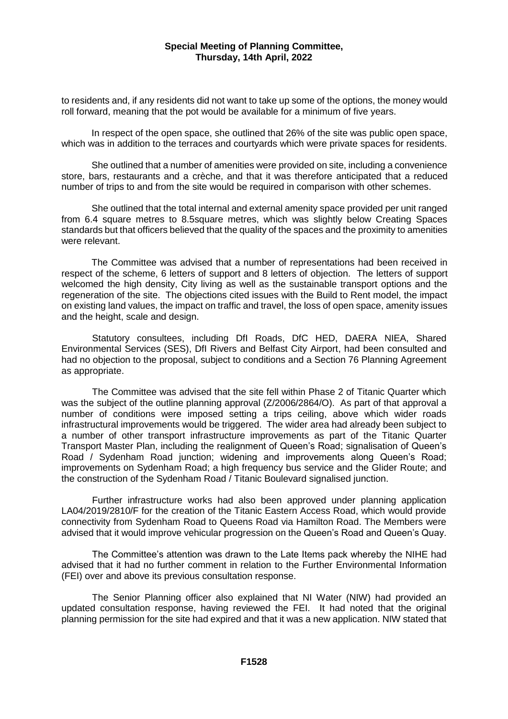to residents and, if any residents did not want to take up some of the options, the money would roll forward, meaning that the pot would be available for a minimum of five years.

In respect of the open space, she outlined that 26% of the site was public open space, which was in addition to the terraces and courtyards which were private spaces for residents.

She outlined that a number of amenities were provided on site, including a convenience store, bars, restaurants and a crèche, and that it was therefore anticipated that a reduced number of trips to and from the site would be required in comparison with other schemes.

She outlined that the total internal and external amenity space provided per unit ranged from 6.4 square metres to 8.5square metres, which was slightly below Creating Spaces standards but that officers believed that the quality of the spaces and the proximity to amenities were relevant.

The Committee was advised that a number of representations had been received in respect of the scheme, 6 letters of support and 8 letters of objection. The letters of support welcomed the high density, City living as well as the sustainable transport options and the regeneration of the site. The objections cited issues with the Build to Rent model, the impact on existing land values, the impact on traffic and travel, the loss of open space, amenity issues and the height, scale and design.

Statutory consultees, including DfI Roads, DfC HED, DAERA NIEA, Shared Environmental Services (SES), DfI Rivers and Belfast City Airport, had been consulted and had no objection to the proposal, subject to conditions and a Section 76 Planning Agreement as appropriate.

The Committee was advised that the site fell within Phase 2 of Titanic Quarter which was the subject of the outline planning approval (Z/2006/2864/O). As part of that approval a number of conditions were imposed setting a trips ceiling, above which wider roads infrastructural improvements would be triggered. The wider area had already been subject to a number of other transport infrastructure improvements as part of the Titanic Quarter Transport Master Plan, including the realignment of Queen's Road; signalisation of Queen's Road / Sydenham Road junction; widening and improvements along Queen's Road; improvements on Sydenham Road; a high frequency bus service and the Glider Route; and the construction of the Sydenham Road / Titanic Boulevard signalised junction.

Further infrastructure works had also been approved under planning application LA04/2019/2810/F for the creation of the Titanic Eastern Access Road, which would provide connectivity from Sydenham Road to Queens Road via Hamilton Road. The Members were advised that it would improve vehicular progression on the Queen's Road and Queen's Quay.

The Committee's attention was drawn to the Late Items pack whereby the NIHE had advised that it had no further comment in relation to the Further Environmental Information (FEI) over and above its previous consultation response.

The Senior Planning officer also explained that NI Water (NIW) had provided an updated consultation response, having reviewed the FEI. It had noted that the original planning permission for the site had expired and that it was a new application. NIW stated that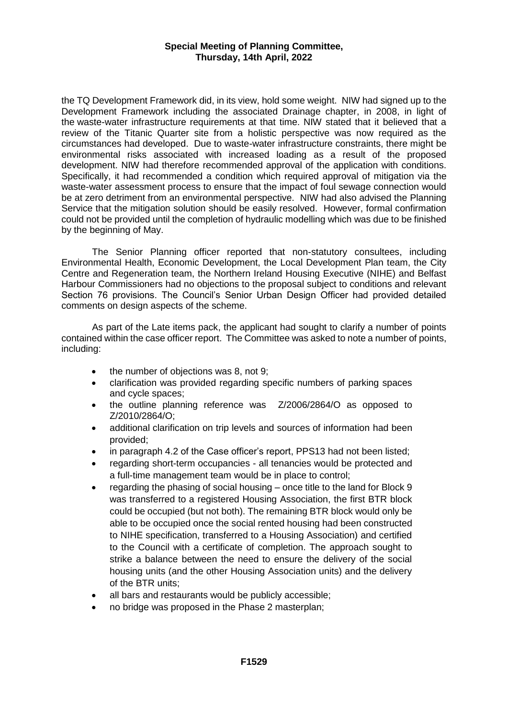the TQ Development Framework did, in its view, hold some weight. NIW had signed up to the Development Framework including the associated Drainage chapter, in 2008, in light of the waste-water infrastructure requirements at that time. NIW stated that it believed that a review of the Titanic Quarter site from a holistic perspective was now required as the circumstances had developed. Due to waste-water infrastructure constraints, there might be environmental risks associated with increased loading as a result of the proposed development. NIW had therefore recommended approval of the application with conditions. Specifically, it had recommended a condition which required approval of mitigation via the waste-water assessment process to ensure that the impact of foul sewage connection would be at zero detriment from an environmental perspective. NIW had also advised the Planning Service that the mitigation solution should be easily resolved. However, formal confirmation could not be provided until the completion of hydraulic modelling which was due to be finished by the beginning of May.

The Senior Planning officer reported that non-statutory consultees, including Environmental Health, Economic Development, the Local Development Plan team, the City Centre and Regeneration team, the Northern Ireland Housing Executive (NIHE) and Belfast Harbour Commissioners had no objections to the proposal subject to conditions and relevant Section 76 provisions. The Council's Senior Urban Design Officer had provided detailed comments on design aspects of the scheme.

As part of the Late items pack, the applicant had sought to clarify a number of points contained within the case officer report. The Committee was asked to note a number of points, including:

- the number of objections was 8, not 9;
- clarification was provided regarding specific numbers of parking spaces and cycle spaces;
- the outline planning reference was Z/2006/2864/O as opposed to Z/2010/2864/O;
- additional clarification on trip levels and sources of information had been provided;
- in paragraph 4.2 of the Case officer's report, PPS13 had not been listed;
- regarding short-term occupancies all tenancies would be protected and a full-time management team would be in place to control;
- regarding the phasing of social housing once title to the land for Block 9 was transferred to a registered Housing Association, the first BTR block could be occupied (but not both). The remaining BTR block would only be able to be occupied once the social rented housing had been constructed to NIHE specification, transferred to a Housing Association) and certified to the Council with a certificate of completion. The approach sought to strike a balance between the need to ensure the delivery of the social housing units (and the other Housing Association units) and the delivery of the BTR units;
- all bars and restaurants would be publicly accessible;
- no bridge was proposed in the Phase 2 masterplan;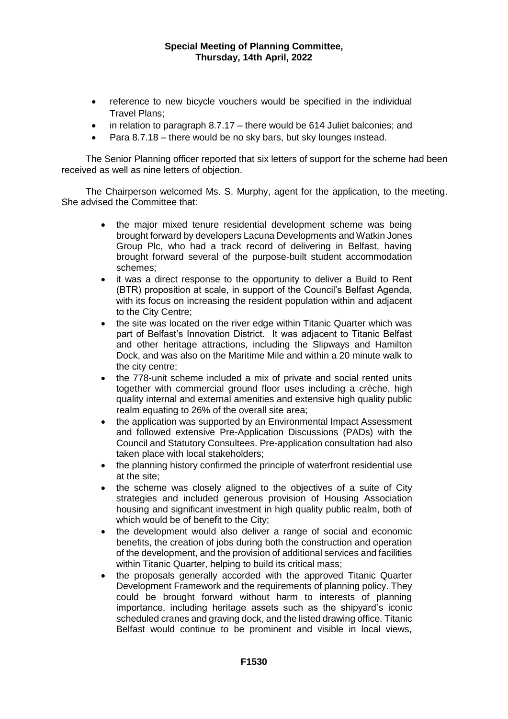- reference to new bicycle vouchers would be specified in the individual Travel Plans;
- in relation to paragraph 8.7.17 there would be 614 Juliet balconies; and
- Para 8.7.18 there would be no sky bars, but sky lounges instead.

The Senior Planning officer reported that six letters of support for the scheme had been received as well as nine letters of objection.

The Chairperson welcomed Ms. S. Murphy, agent for the application, to the meeting. She advised the Committee that:

- the major mixed tenure residential development scheme was being brought forward by developers Lacuna Developments and Watkin Jones Group Plc, who had a track record of delivering in Belfast, having brought forward several of the purpose-built student accommodation schemes;
- it was a direct response to the opportunity to deliver a Build to Rent (BTR) proposition at scale, in support of the Council's Belfast Agenda, with its focus on increasing the resident population within and adjacent to the City Centre;
- the site was located on the river edge within Titanic Quarter which was part of Belfast's Innovation District. It was adjacent to Titanic Belfast and other heritage attractions, including the Slipways and Hamilton Dock, and was also on the Maritime Mile and within a 20 minute walk to the city centre;
- the 778-unit scheme included a mix of private and social rented units together with commercial ground floor uses including a crèche, high quality internal and external amenities and extensive high quality public realm equating to 26% of the overall site area;
- the application was supported by an Environmental Impact Assessment and followed extensive Pre-Application Discussions (PADs) with the Council and Statutory Consultees. Pre-application consultation had also taken place with local stakeholders;
- the planning history confirmed the principle of waterfront residential use at the site;
- the scheme was closely aligned to the objectives of a suite of City strategies and included generous provision of Housing Association housing and significant investment in high quality public realm, both of which would be of benefit to the City;
- the development would also deliver a range of social and economic benefits, the creation of jobs during both the construction and operation of the development, and the provision of additional services and facilities within Titanic Quarter, helping to build its critical mass;
- the proposals generally accorded with the approved Titanic Quarter Development Framework and the requirements of planning policy. They could be brought forward without harm to interests of planning importance, including heritage assets such as the shipyard's iconic scheduled cranes and graving dock, and the listed drawing office. Titanic Belfast would continue to be prominent and visible in local views,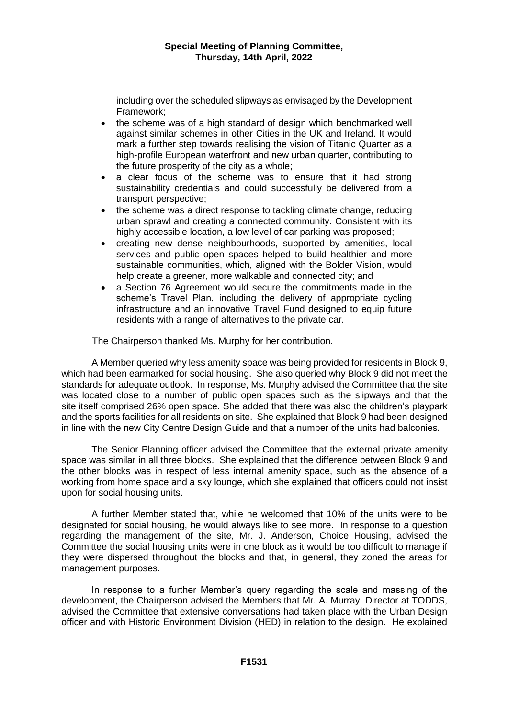including over the scheduled slipways as envisaged by the Development Framework;

- the scheme was of a high standard of design which benchmarked well against similar schemes in other Cities in the UK and Ireland. It would mark a further step towards realising the vision of Titanic Quarter as a high-profile European waterfront and new urban quarter, contributing to the future prosperity of the city as a whole;
- a clear focus of the scheme was to ensure that it had strong sustainability credentials and could successfully be delivered from a transport perspective;
- the scheme was a direct response to tackling climate change, reducing urban sprawl and creating a connected community. Consistent with its highly accessible location, a low level of car parking was proposed;
- creating new dense neighbourhoods, supported by amenities, local services and public open spaces helped to build healthier and more sustainable communities, which, aligned with the Bolder Vision, would help create a greener, more walkable and connected city; and
- a Section 76 Agreement would secure the commitments made in the scheme's Travel Plan, including the delivery of appropriate cycling infrastructure and an innovative Travel Fund designed to equip future residents with a range of alternatives to the private car.

The Chairperson thanked Ms. Murphy for her contribution.

A Member queried why less amenity space was being provided for residents in Block 9, which had been earmarked for social housing. She also queried why Block 9 did not meet the standards for adequate outlook. In response, Ms. Murphy advised the Committee that the site was located close to a number of public open spaces such as the slipways and that the site itself comprised 26% open space. She added that there was also the children's playpark and the sports facilities for all residents on site. She explained that Block 9 had been designed in line with the new City Centre Design Guide and that a number of the units had balconies.

The Senior Planning officer advised the Committee that the external private amenity space was similar in all three blocks. She explained that the difference between Block 9 and the other blocks was in respect of less internal amenity space, such as the absence of a working from home space and a sky lounge, which she explained that officers could not insist upon for social housing units.

A further Member stated that, while he welcomed that 10% of the units were to be designated for social housing, he would always like to see more. In response to a question regarding the management of the site, Mr. J. Anderson, Choice Housing, advised the Committee the social housing units were in one block as it would be too difficult to manage if they were dispersed throughout the blocks and that, in general, they zoned the areas for management purposes.

In response to a further Member's query regarding the scale and massing of the development, the Chairperson advised the Members that Mr. A. Murray, Director at TODDS, advised the Committee that extensive conversations had taken place with the Urban Design officer and with Historic Environment Division (HED) in relation to the design. He explained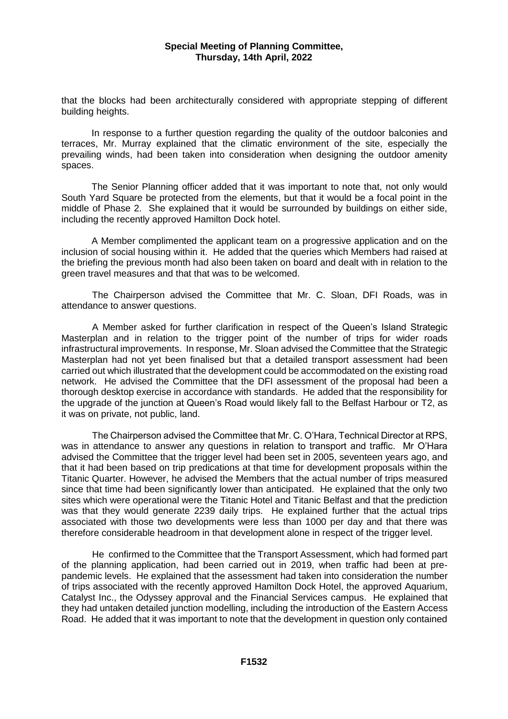that the blocks had been architecturally considered with appropriate stepping of different building heights.

In response to a further question regarding the quality of the outdoor balconies and terraces, Mr. Murray explained that the climatic environment of the site, especially the prevailing winds, had been taken into consideration when designing the outdoor amenity spaces.

The Senior Planning officer added that it was important to note that, not only would South Yard Square be protected from the elements, but that it would be a focal point in the middle of Phase 2. She explained that it would be surrounded by buildings on either side, including the recently approved Hamilton Dock hotel.

A Member complimented the applicant team on a progressive application and on the inclusion of social housing within it. He added that the queries which Members had raised at the briefing the previous month had also been taken on board and dealt with in relation to the green travel measures and that that was to be welcomed.

The Chairperson advised the Committee that Mr. C. Sloan, DFI Roads, was in attendance to answer questions.

A Member asked for further clarification in respect of the Queen's Island Strategic Masterplan and in relation to the trigger point of the number of trips for wider roads infrastructural improvements. In response, Mr. Sloan advised the Committee that the Strategic Masterplan had not yet been finalised but that a detailed transport assessment had been carried out which illustrated that the development could be accommodated on the existing road network. He advised the Committee that the DFI assessment of the proposal had been a thorough desktop exercise in accordance with standards. He added that the responsibility for the upgrade of the junction at Queen's Road would likely fall to the Belfast Harbour or T2, as it was on private, not public, land.

The Chairperson advised the Committee that Mr. C. O'Hara, Technical Director at RPS, was in attendance to answer any questions in relation to transport and traffic. Mr O'Hara advised the Committee that the trigger level had been set in 2005, seventeen years ago, and that it had been based on trip predications at that time for development proposals within the Titanic Quarter. However, he advised the Members that the actual number of trips measured since that time had been significantly lower than anticipated. He explained that the only two sites which were operational were the Titanic Hotel and Titanic Belfast and that the prediction was that they would generate 2239 daily trips. He explained further that the actual trips associated with those two developments were less than 1000 per day and that there was therefore considerable headroom in that development alone in respect of the trigger level.

He confirmed to the Committee that the Transport Assessment, which had formed part of the planning application, had been carried out in 2019, when traffic had been at prepandemic levels. He explained that the assessment had taken into consideration the number of trips associated with the recently approved Hamilton Dock Hotel, the approved Aquarium, Catalyst Inc., the Odyssey approval and the Financial Services campus. He explained that they had untaken detailed junction modelling, including the introduction of the Eastern Access Road. He added that it was important to note that the development in question only contained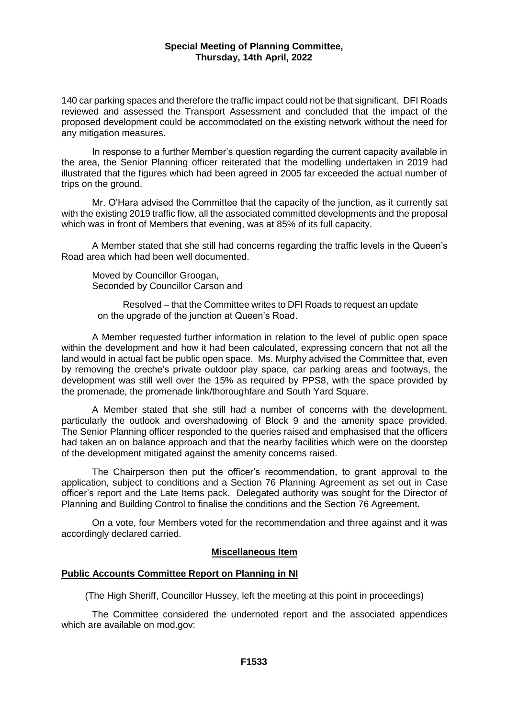140 car parking spaces and therefore the traffic impact could not be that significant. DFI Roads reviewed and assessed the Transport Assessment and concluded that the impact of the proposed development could be accommodated on the existing network without the need for any mitigation measures.

In response to a further Member's question regarding the current capacity available in the area, the Senior Planning officer reiterated that the modelling undertaken in 2019 had illustrated that the figures which had been agreed in 2005 far exceeded the actual number of trips on the ground.

Mr. O'Hara advised the Committee that the capacity of the junction, as it currently sat with the existing 2019 traffic flow, all the associated committed developments and the proposal which was in front of Members that evening, was at 85% of its full capacity.

A Member stated that she still had concerns regarding the traffic levels in the Queen's Road area which had been well documented.

Moved by Councillor Groogan, Seconded by Councillor Carson and

Resolved – that the Committee writes to DFI Roads to request an update on the upgrade of the junction at Queen's Road.

A Member requested further information in relation to the level of public open space within the development and how it had been calculated, expressing concern that not all the land would in actual fact be public open space. Ms. Murphy advised the Committee that, even by removing the creche's private outdoor play space, car parking areas and footways, the development was still well over the 15% as required by PPS8, with the space provided by the promenade, the promenade link/thoroughfare and South Yard Square.

A Member stated that she still had a number of concerns with the development, particularly the outlook and overshadowing of Block 9 and the amenity space provided. The Senior Planning officer responded to the queries raised and emphasised that the officers had taken an on balance approach and that the nearby facilities which were on the doorstep of the development mitigated against the amenity concerns raised.

The Chairperson then put the officer's recommendation, to grant approval to the application, subject to conditions and a Section 76 Planning Agreement as set out in Case officer's report and the Late Items pack. Delegated authority was sought for the Director of Planning and Building Control to finalise the conditions and the Section 76 Agreement.

On a vote, four Members voted for the recommendation and three against and it was accordingly declared carried.

## **Miscellaneous Item**

## **Public Accounts Committee Report on Planning in NI**

(The High Sheriff, Councillor Hussey, left the meeting at this point in proceedings)

The Committee considered the undernoted report and the associated appendices which are available on mod.gov: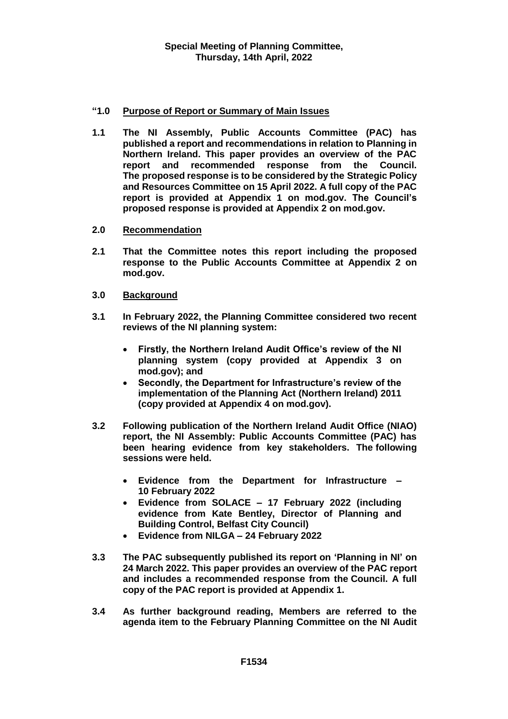## **"1.0 Purpose of Report or Summary of Main Issues**

- **1.1 The NI Assembly, Public Accounts Committee (PAC) has published a report and recommendations in relation to Planning in Northern Ireland. This paper provides an overview of the PAC report and recommended response from the Council. The proposed response is to be considered by the Strategic Policy and Resources Committee on 15 April 2022. A full copy of the PAC report is provided at Appendix 1 on mod.gov. The Council's proposed response is provided at Appendix 2 on mod.gov.**
- **2.0 Recommendation**
- **2.1 That the Committee notes this report including the proposed response to the Public Accounts Committee at Appendix 2 on mod.gov.**
- **3.0 Background**
- **3.1 In February 2022, the Planning Committee considered two recent reviews of the NI planning system:**
	- **Firstly, the Northern Ireland Audit Office's review of the NI planning system (copy provided at Appendix 3 on mod.gov); and**
	- **Secondly, the Department for Infrastructure's review of the implementation of the Planning Act (Northern Ireland) 2011 (copy provided at Appendix 4 on mod.gov).**
- **3.2 Following publication of the Northern Ireland Audit Office (NIAO) report, the NI Assembly: Public Accounts Committee (PAC) has been hearing evidence from key stakeholders. The following sessions were held.**
	- **Evidence from the Department for Infrastructure – 10 February 2022**
	- **Evidence from SOLACE – 17 February 2022 (including evidence from Kate Bentley, Director of Planning and Building Control, Belfast City Council)**
	- **Evidence from NILGA – 24 February 2022**
- **3.3 The PAC subsequently published its report on 'Planning in NI' on 24 March 2022. This paper provides an overview of the PAC report and includes a recommended response from the Council. A full copy of the PAC report is provided at Appendix 1.**
- **3.4 As further background reading, Members are referred to the agenda item to the February Planning Committee on the NI Audit**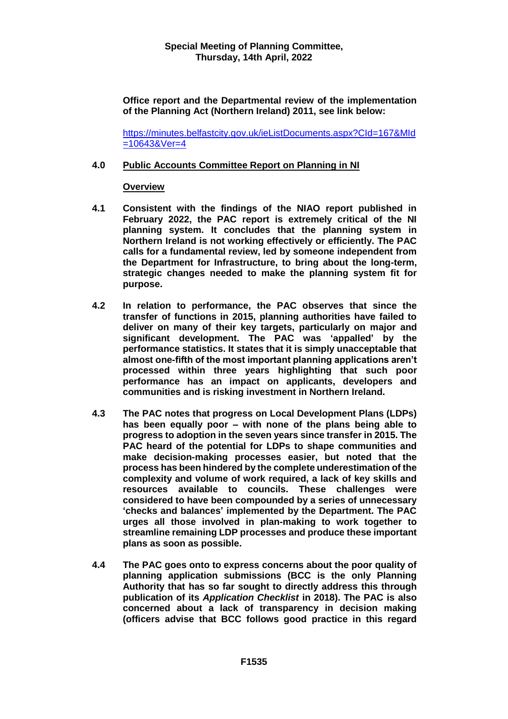**Office report and the Departmental review of the implementation of the Planning Act (Northern Ireland) 2011, see link below:**

[https://minutes.belfastcity.gov.uk/ieListDocuments.aspx?CId=167&MId](https://minutes.belfastcity.gov.uk/ieListDocuments.aspx?CId=167&MId=10643&Ver=4)  $=106438Ver=4$ 

#### **4.0 Public Accounts Committee Report on Planning in NI**

#### **Overview**

- **4.1 Consistent with the findings of the NIAO report published in February 2022, the PAC report is extremely critical of the NI planning system. It concludes that the planning system in Northern Ireland is not working effectively or efficiently. The PAC calls for a fundamental review, led by someone independent from the Department for Infrastructure, to bring about the long-term, strategic changes needed to make the planning system fit for purpose.**
- **4.2 In relation to performance, the PAC observes that since the transfer of functions in 2015, planning authorities have failed to deliver on many of their key targets, particularly on major and significant development. The PAC was 'appalled' by the performance statistics. It states that it is simply unacceptable that almost one-fifth of the most important planning applications aren't processed within three years highlighting that such poor performance has an impact on applicants, developers and communities and is risking investment in Northern Ireland.**
- **4.3 The PAC notes that progress on Local Development Plans (LDPs) has been equally poor – with none of the plans being able to progress to adoption in the seven years since transfer in 2015. The PAC heard of the potential for LDPs to shape communities and make decision-making processes easier, but noted that the process has been hindered by the complete underestimation of the complexity and volume of work required, a lack of key skills and resources available to councils. These challenges were considered to have been compounded by a series of unnecessary 'checks and balances' implemented by the Department. The PAC urges all those involved in plan-making to work together to streamline remaining LDP processes and produce these important plans as soon as possible.**
- **4.4 The PAC goes onto to express concerns about the poor quality of planning application submissions (BCC is the only Planning Authority that has so far sought to directly address this through publication of its** *Application Checklist* **in 2018). The PAC is also concerned about a lack of transparency in decision making (officers advise that BCC follows good practice in this regard**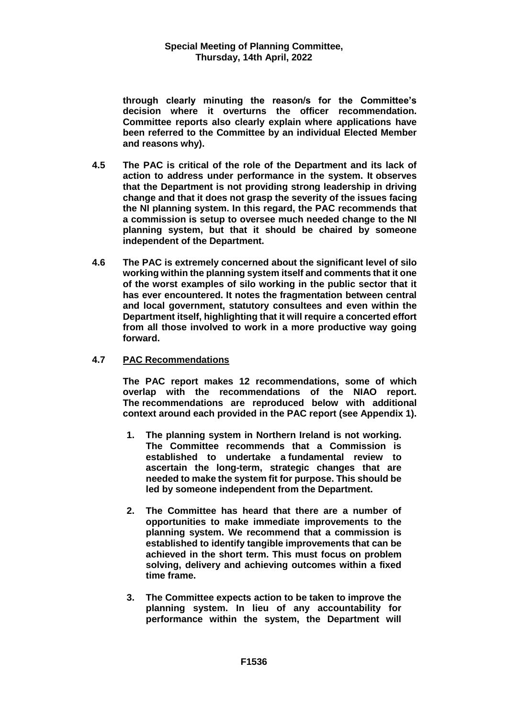**through clearly minuting the reason/s for the Committee's decision where it overturns the officer recommendation. Committee reports also clearly explain where applications have been referred to the Committee by an individual Elected Member and reasons why).**

- **4.5 The PAC is critical of the role of the Department and its lack of action to address under performance in the system. It observes that the Department is not providing strong leadership in driving change and that it does not grasp the severity of the issues facing the NI planning system. In this regard, the PAC recommends that a commission is setup to oversee much needed change to the NI planning system, but that it should be chaired by someone independent of the Department.**
- **4.6 The PAC is extremely concerned about the significant level of silo working within the planning system itself and comments that it one of the worst examples of silo working in the public sector that it has ever encountered. It notes the fragmentation between central and local government, statutory consultees and even within the Department itself, highlighting that it will require a concerted effort from all those involved to work in a more productive way going forward.**

## **4.7 PAC Recommendations**

**The PAC report makes 12 recommendations, some of which overlap with the recommendations of the NIAO report. The recommendations are reproduced below with additional context around each provided in the PAC report (see Appendix 1).**

- **1. The planning system in Northern Ireland is not working. The Committee recommends that a Commission is established to undertake a fundamental review to ascertain the long-term, strategic changes that are needed to make the system fit for purpose. This should be led by someone independent from the Department.**
- **2. The Committee has heard that there are a number of opportunities to make immediate improvements to the planning system. We recommend that a commission is established to identify tangible improvements that can be achieved in the short term. This must focus on problem solving, delivery and achieving outcomes within a fixed time frame.**
- **3. The Committee expects action to be taken to improve the planning system. In lieu of any accountability for performance within the system, the Department will**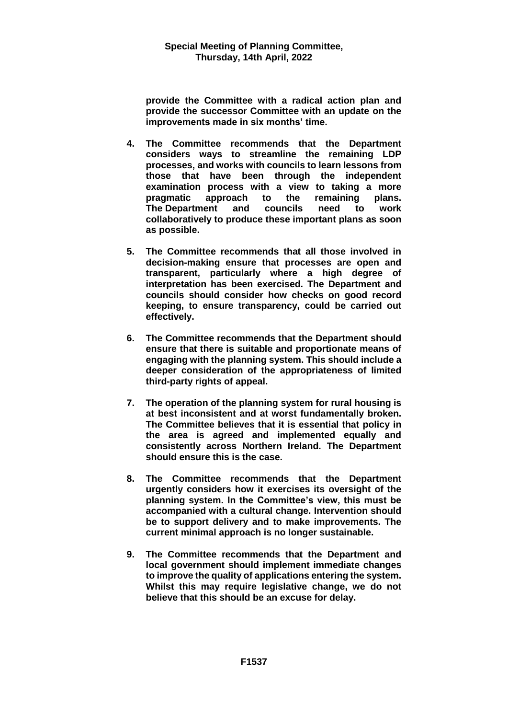**provide the Committee with a radical action plan and provide the successor Committee with an update on the improvements made in six months' time.**

- **4. The Committee recommends that the Department considers ways to streamline the remaining LDP processes, and works with councils to learn lessons from those that have been through the independent examination process with a view to taking a more pragmatic approach to the remaining plans. The Department and councils need to work collaboratively to produce these important plans as soon as possible.**
- **5. The Committee recommends that all those involved in decision-making ensure that processes are open and transparent, particularly where a high degree of interpretation has been exercised. The Department and councils should consider how checks on good record keeping, to ensure transparency, could be carried out effectively.**
- **6. The Committee recommends that the Department should ensure that there is suitable and proportionate means of engaging with the planning system. This should include a deeper consideration of the appropriateness of limited third-party rights of appeal.**
- **7. The operation of the planning system for rural housing is at best inconsistent and at worst fundamentally broken. The Committee believes that it is essential that policy in the area is agreed and implemented equally and consistently across Northern Ireland. The Department should ensure this is the case.**
- **8. The Committee recommends that the Department urgently considers how it exercises its oversight of the planning system. In the Committee's view, this must be accompanied with a cultural change. Intervention should be to support delivery and to make improvements. The current minimal approach is no longer sustainable.**
- **9. The Committee recommends that the Department and local government should implement immediate changes to improve the quality of applications entering the system. Whilst this may require legislative change, we do not believe that this should be an excuse for delay.**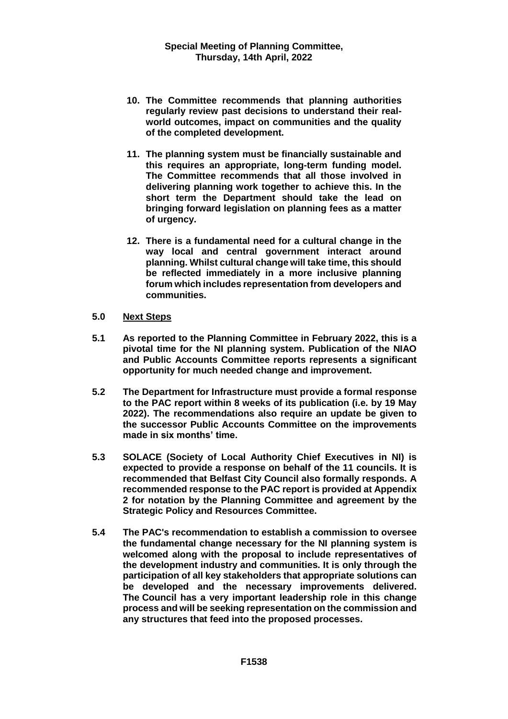- **10. The Committee recommends that planning authorities regularly review past decisions to understand their realworld outcomes, impact on communities and the quality of the completed development.**
- **11. The planning system must be financially sustainable and this requires an appropriate, long-term funding model. The Committee recommends that all those involved in delivering planning work together to achieve this. In the short term the Department should take the lead on bringing forward legislation on planning fees as a matter of urgency.**
- **12. There is a fundamental need for a cultural change in the way local and central government interact around planning. Whilst cultural change will take time, this should be reflected immediately in a more inclusive planning forum which includes representation from developers and communities.**
- **5.0 Next Steps**
- **5.1 As reported to the Planning Committee in February 2022, this is a pivotal time for the NI planning system. Publication of the NIAO and Public Accounts Committee reports represents a significant opportunity for much needed change and improvement.**
- **5.2 The Department for Infrastructure must provide a formal response to the PAC report within 8 weeks of its publication (i.e. by 19 May 2022). The recommendations also require an update be given to the successor Public Accounts Committee on the improvements made in six months' time.**
- **5.3 SOLACE (Society of Local Authority Chief Executives in NI) is expected to provide a response on behalf of the 11 councils. It is recommended that Belfast City Council also formally responds. A recommended response to the PAC report is provided at Appendix 2 for notation by the Planning Committee and agreement by the Strategic Policy and Resources Committee.**
- **5.4 The PAC's recommendation to establish a commission to oversee the fundamental change necessary for the NI planning system is welcomed along with the proposal to include representatives of the development industry and communities. It is only through the participation of all key stakeholders that appropriate solutions can be developed and the necessary improvements delivered. The Council has a very important leadership role in this change process and will be seeking representation on the commission and any structures that feed into the proposed processes.**